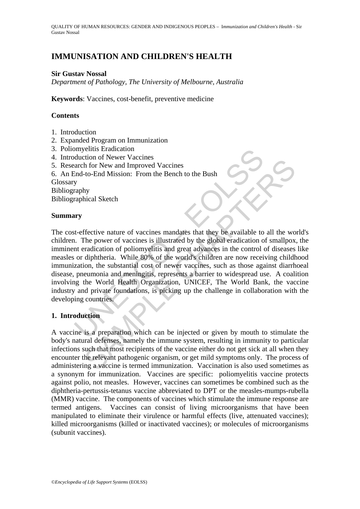QUALITY OF HUMAN RESOURCES: GENDER AND INDIGENOUS PEOPLES – I*mmunization and Children's Health* - Sir Gustav Nossal

# **IMMUNISATION AND CHILDREN'S HEALTH**

# **Sir Gustav Nossal**

*Department of Pathology, The University of Melbourne, Australia* 

**Keywords**: Vaccines, cost-benefit, preventive medicine

### **Contents**

- 1. Introduction
- 2. Expanded Program on Immunization
- 3. Poliomyelitis Eradication
- 4. Introduction of Newer Vaccines
- 5. Research for New and Improved Vaccines
- 6. An End-to-End Mission: From the Bench to the Bush

Glossary

Bibliography

Bibliographical Sketch

### **Summary**

My and the Waver Vaccines<br>
arch for New and Improved Vaccines<br>
End-to-End Mission: From the Bench to the Bush<br>
y<br>
y<br>
raphy<br>
y<br>
raphy<br>
raphical Sketch<br>
wry<br>
wry<br>
t-effective nature of vaccines mandates that they be availabl The proper service of vaccines<br>the for New and Improved Vaccines<br>to-End Mission: From the Bench to the Bush<br>shiped Setch<br>thical Sketch<br>the power of vaccines is illustrated by the global eradication of smallpox<br>radication o The cost-effective nature of vaccines mandates that they be available to all the world's children. The power of vaccines is illustrated by the global eradication of smallpox, the imminent eradication of poliomyelitis and great advances in the control of diseases like measles or diphtheria. While 80% of the world's children are now receiving childhood immunization, the substantial cost of newer vaccines, such as those against diarrhoeal disease, pneumonia and meningitis, represents a barrier to widespread use. A coalition involving the World Health Organization, UNICEF, The World Bank, the vaccine industry and private foundations, is picking up the challenge in collaboration with the developing countries.

# **1. Introduction**

A vaccine is a preparation which can be injected or given by mouth to stimulate the body's natural defenses, namely the immune system, resulting in immunity to particular infections such that most recipients of the vaccine either do not get sick at all when they encounter the relevant pathogenic organism, or get mild symptoms only. The process of administering a vaccine is termed immunization. Vaccination is also used sometimes as a synonym for immunization. Vaccines are specific: poliomyelitis vaccine protects against polio, not measles. However, vaccines can sometimes be combined such as the diphtheria-pertussis-tetanus vaccine abbreviated to DPT or the measles-mumps-rubella (MMR) vaccine. The components of vaccines which stimulate the immune response are termed antigens. Vaccines can consist of living microorganisms that have been manipulated to eliminate their virulence or harmful effects (live, attenuated vaccines); killed microorganisms (killed or inactivated vaccines); or molecules of microorganisms (subunit vaccines).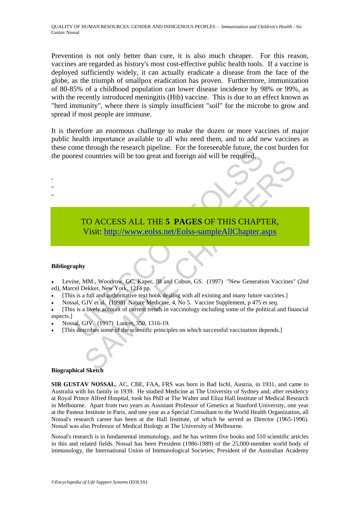Prevention is not only better than cure, it is also much cheaper. For this reason, vaccines are regarded as history's most cost-effective public health tools. If a vaccine is deployed sufficiently widely, it can actually eradicate a disease from the face of the globe, as the triumph of smallpox eradication has proven. Furthermore, immunization of 80-85% of a childhood population can lower disease incidence by 98% or 99%, as with the recently introduced meningitis (Hib) vaccine. This is due to an effect known as "herd immunity", where there is simply insufficient "soil" for the microbe to grow and spread if most people are immune.

It is therefore an enormous challenge to make the dozen or more vaccines of major public health importance available to all who need them, and to add new vaccines as these come through the research pipeline. For the foreseeable future, the cost burden for the poorest countries will be too great and foreign aid will be required.

# The unit of the search phemie. Tot the these<br>search translate than the required.<br>To ACCESS ALL THE 5 PAGES OF THIS CHAPT<br>Visit: http://www.eolss.net/Eolss-sampleAllChapter.a<br>Visit: http://www.eolss.net/Eolss-sampleAllChapt TO ACCESS ALL THE 5 PAGES OF THIS C[HAPT](https://www.eolss.net/ebooklib/sc_cart.aspx?File=E1-17-05-02)ER,<br>
Visit: http://www.eolss.net/Eolss-sampleAllChapter.aspx<br>
WMM., Woodrow, GC, Kaper, JB and Cobon, GS. (1997) "New Generation Vaccines"<br>
for full and authorizative lext book dealin TO ACCESS ALL THE **5 PAGES** OF THIS CHAPTER, Visit: http://www.eolss.net/Eolss-sampleAllChapter.aspx

### **Bibliography**

- - -

• Levine, MM., Woodrow, GC, Kaper, JB and Cobon, GS. (1997) "New Generation Vaccines" (2nd ed), Marcel Dekker, New York, 1214 pp.

- [This is a full and authoritative text book dealing with all existing and many future vaccines.]
- Nossal, GJV et al. (1998) Nature Medicine, 4, No 5. Vaccine Supplement, p 475 et seq.
- [This is a lively account of current trends in vaccinology including some of the political and financial aspects.]
- Nossal, GJV. (1997) Lancet, 350, 1316-19.
- [This describes some of the scientific principles on which successful vaccination depends.]

### **Biographical Sketch**

**SIR GUSTAV NOSSAL**, AC, CBE, FAA, FRS was born in Bad Ischl, Austria, in 1931, and came to Australia with his family in 1939. He studied Medicine at The University of Sydney and, after residency at Royal Prince Alfred Hospital, took his PhD at The Walter and Eliza Hall Institute of Medical Research in Melbourne. Apart from two years as Assistant Professor of Genetics at Stanford University, one year at the Pasteur Institute in Paris, and one year as a Special Consultant to the World Health Organization, all Nossal's research career has been at the Hall Institute, of which he served as Director (1965-1996). Nossal was also Professor of Medical Biology at The University of Melbourne.

Nossal's research is in fundamental immunology, and he has written five books and 510 scientific articles in this and related fields. Nossal has been President (1986-1989) of the 25,000-member world body of immunology, the International Union of Immunological Societies; President of the Australian Academy